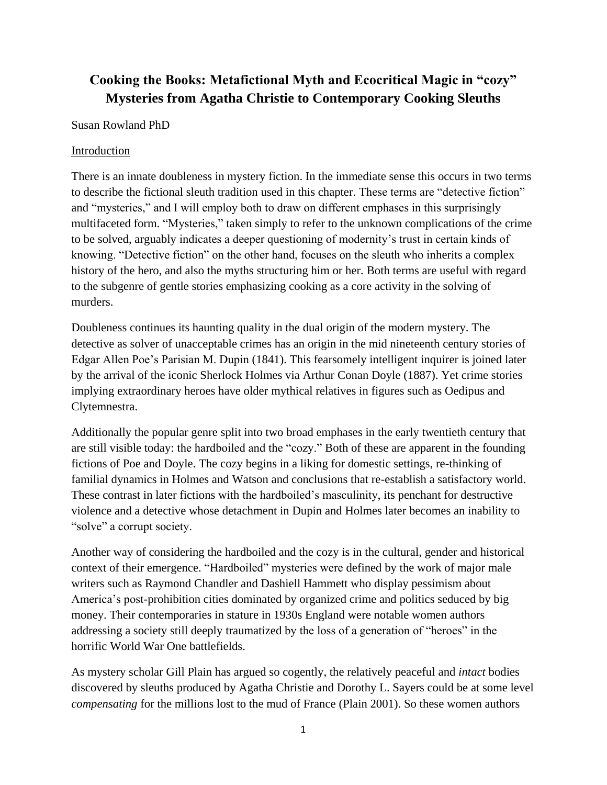# **Cooking the Books: Metafictional Myth and Ecocritical Magic in "cozy" Mysteries from Agatha Christie to Contemporary Cooking Sleuths**

### Susan Rowland PhD

### Introduction

There is an innate doubleness in mystery fiction. In the immediate sense this occurs in two terms to describe the fictional sleuth tradition used in this chapter. These terms are "detective fiction" and "mysteries," and I will employ both to draw on different emphases in this surprisingly multifaceted form. "Mysteries," taken simply to refer to the unknown complications of the crime to be solved, arguably indicates a deeper questioning of modernity's trust in certain kinds of knowing. "Detective fiction" on the other hand, focuses on the sleuth who inherits a complex history of the hero, and also the myths structuring him or her. Both terms are useful with regard to the subgenre of gentle stories emphasizing cooking as a core activity in the solving of murders.

Doubleness continues its haunting quality in the dual origin of the modern mystery. The detective as solver of unacceptable crimes has an origin in the mid nineteenth century stories of Edgar Allen Poe's Parisian M. Dupin (1841). This fearsomely intelligent inquirer is joined later by the arrival of the iconic Sherlock Holmes via Arthur Conan Doyle (1887). Yet crime stories implying extraordinary heroes have older mythical relatives in figures such as Oedipus and Clytemnestra.

Additionally the popular genre split into two broad emphases in the early twentieth century that are still visible today: the hardboiled and the "cozy." Both of these are apparent in the founding fictions of Poe and Doyle. The cozy begins in a liking for domestic settings, re-thinking of familial dynamics in Holmes and Watson and conclusions that re-establish a satisfactory world. These contrast in later fictions with the hardboiled's masculinity, its penchant for destructive violence and a detective whose detachment in Dupin and Holmes later becomes an inability to "solve" a corrupt society.

Another way of considering the hardboiled and the cozy is in the cultural, gender and historical context of their emergence. "Hardboiled" mysteries were defined by the work of major male writers such as Raymond Chandler and Dashiell Hammett who display pessimism about America's post-prohibition cities dominated by organized crime and politics seduced by big money. Their contemporaries in stature in 1930s England were notable women authors addressing a society still deeply traumatized by the loss of a generation of "heroes" in the horrific World War One battlefields.

As mystery scholar Gill Plain has argued so cogently, the relatively peaceful and *intact* bodies discovered by sleuths produced by Agatha Christie and Dorothy L. Sayers could be at some level *compensating* for the millions lost to the mud of France (Plain 2001). So these women authors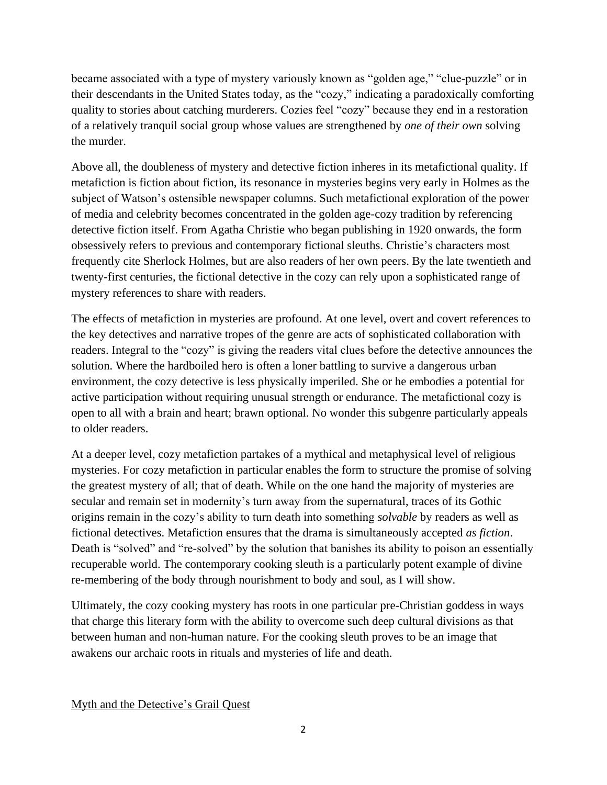became associated with a type of mystery variously known as "golden age," "clue-puzzle" or in their descendants in the United States today, as the "cozy," indicating a paradoxically comforting quality to stories about catching murderers. Cozies feel "cozy" because they end in a restoration of a relatively tranquil social group whose values are strengthened by *one of their own* solving the murder.

Above all, the doubleness of mystery and detective fiction inheres in its metafictional quality. If metafiction is fiction about fiction, its resonance in mysteries begins very early in Holmes as the subject of Watson's ostensible newspaper columns. Such metafictional exploration of the power of media and celebrity becomes concentrated in the golden age-cozy tradition by referencing detective fiction itself. From Agatha Christie who began publishing in 1920 onwards, the form obsessively refers to previous and contemporary fictional sleuths. Christie's characters most frequently cite Sherlock Holmes, but are also readers of her own peers. By the late twentieth and twenty-first centuries, the fictional detective in the cozy can rely upon a sophisticated range of mystery references to share with readers.

The effects of metafiction in mysteries are profound. At one level, overt and covert references to the key detectives and narrative tropes of the genre are acts of sophisticated collaboration with readers. Integral to the "cozy" is giving the readers vital clues before the detective announces the solution. Where the hardboiled hero is often a loner battling to survive a dangerous urban environment, the cozy detective is less physically imperiled. She or he embodies a potential for active participation without requiring unusual strength or endurance. The metafictional cozy is open to all with a brain and heart; brawn optional. No wonder this subgenre particularly appeals to older readers.

At a deeper level, cozy metafiction partakes of a mythical and metaphysical level of religious mysteries. For cozy metafiction in particular enables the form to structure the promise of solving the greatest mystery of all; that of death. While on the one hand the majority of mysteries are secular and remain set in modernity's turn away from the supernatural, traces of its Gothic origins remain in the cozy's ability to turn death into something *solvable* by readers as well as fictional detectives. Metafiction ensures that the drama is simultaneously accepted *as fiction*. Death is "solved" and "re-solved" by the solution that banishes its ability to poison an essentially recuperable world. The contemporary cooking sleuth is a particularly potent example of divine re-membering of the body through nourishment to body and soul, as I will show.

Ultimately, the cozy cooking mystery has roots in one particular pre-Christian goddess in ways that charge this literary form with the ability to overcome such deep cultural divisions as that between human and non-human nature. For the cooking sleuth proves to be an image that awakens our archaic roots in rituals and mysteries of life and death.

Myth and the Detective's Grail Quest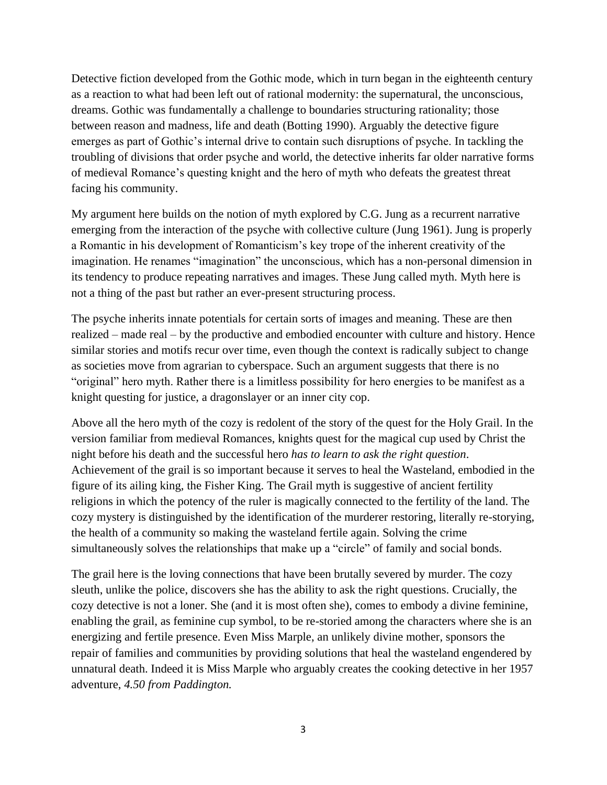Detective fiction developed from the Gothic mode, which in turn began in the eighteenth century as a reaction to what had been left out of rational modernity: the supernatural, the unconscious, dreams. Gothic was fundamentally a challenge to boundaries structuring rationality; those between reason and madness, life and death (Botting 1990). Arguably the detective figure emerges as part of Gothic's internal drive to contain such disruptions of psyche. In tackling the troubling of divisions that order psyche and world, the detective inherits far older narrative forms of medieval Romance's questing knight and the hero of myth who defeats the greatest threat facing his community.

My argument here builds on the notion of myth explored by C.G. Jung as a recurrent narrative emerging from the interaction of the psyche with collective culture (Jung 1961). Jung is properly a Romantic in his development of Romanticism's key trope of the inherent creativity of the imagination. He renames "imagination" the unconscious, which has a non-personal dimension in its tendency to produce repeating narratives and images. These Jung called myth. Myth here is not a thing of the past but rather an ever-present structuring process.

The psyche inherits innate potentials for certain sorts of images and meaning. These are then realized – made real – by the productive and embodied encounter with culture and history. Hence similar stories and motifs recur over time, even though the context is radically subject to change as societies move from agrarian to cyberspace. Such an argument suggests that there is no "original" hero myth. Rather there is a limitless possibility for hero energies to be manifest as a knight questing for justice, a dragonslayer or an inner city cop.

Above all the hero myth of the cozy is redolent of the story of the quest for the Holy Grail. In the version familiar from medieval Romances, knights quest for the magical cup used by Christ the night before his death and the successful hero *has to learn to ask the right question*. Achievement of the grail is so important because it serves to heal the Wasteland, embodied in the figure of its ailing king, the Fisher King. The Grail myth is suggestive of ancient fertility religions in which the potency of the ruler is magically connected to the fertility of the land. The cozy mystery is distinguished by the identification of the murderer restoring, literally re-storying, the health of a community so making the wasteland fertile again. Solving the crime simultaneously solves the relationships that make up a "circle" of family and social bonds.

The grail here is the loving connections that have been brutally severed by murder. The cozy sleuth, unlike the police, discovers she has the ability to ask the right questions. Crucially, the cozy detective is not a loner. She (and it is most often she), comes to embody a divine feminine, enabling the grail, as feminine cup symbol, to be re-storied among the characters where she is an energizing and fertile presence. Even Miss Marple, an unlikely divine mother, sponsors the repair of families and communities by providing solutions that heal the wasteland engendered by unnatural death. Indeed it is Miss Marple who arguably creates the cooking detective in her 1957 adventure, *4.50 from Paddington.*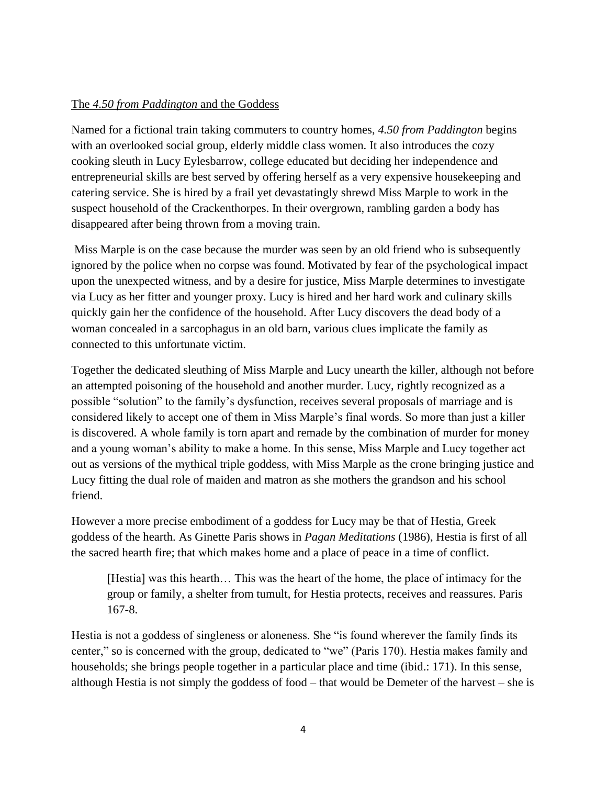### The *4.50 from Paddington* and the Goddess

Named for a fictional train taking commuters to country homes, *4.50 from Paddington* begins with an overlooked social group, elderly middle class women. It also introduces the cozy cooking sleuth in Lucy Eylesbarrow, college educated but deciding her independence and entrepreneurial skills are best served by offering herself as a very expensive housekeeping and catering service. She is hired by a frail yet devastatingly shrewd Miss Marple to work in the suspect household of the Crackenthorpes. In their overgrown, rambling garden a body has disappeared after being thrown from a moving train.

Miss Marple is on the case because the murder was seen by an old friend who is subsequently ignored by the police when no corpse was found. Motivated by fear of the psychological impact upon the unexpected witness, and by a desire for justice, Miss Marple determines to investigate via Lucy as her fitter and younger proxy. Lucy is hired and her hard work and culinary skills quickly gain her the confidence of the household. After Lucy discovers the dead body of a woman concealed in a sarcophagus in an old barn, various clues implicate the family as connected to this unfortunate victim.

Together the dedicated sleuthing of Miss Marple and Lucy unearth the killer, although not before an attempted poisoning of the household and another murder. Lucy, rightly recognized as a possible "solution" to the family's dysfunction, receives several proposals of marriage and is considered likely to accept one of them in Miss Marple's final words. So more than just a killer is discovered. A whole family is torn apart and remade by the combination of murder for money and a young woman's ability to make a home. In this sense, Miss Marple and Lucy together act out as versions of the mythical triple goddess, with Miss Marple as the crone bringing justice and Lucy fitting the dual role of maiden and matron as she mothers the grandson and his school friend.

However a more precise embodiment of a goddess for Lucy may be that of Hestia, Greek goddess of the hearth. As Ginette Paris shows in *Pagan Meditations* (1986), Hestia is first of all the sacred hearth fire; that which makes home and a place of peace in a time of conflict.

[Hestia] was this hearth… This was the heart of the home, the place of intimacy for the group or family, a shelter from tumult, for Hestia protects, receives and reassures. Paris 167-8.

Hestia is not a goddess of singleness or aloneness. She "is found wherever the family finds its center," so is concerned with the group, dedicated to "we" (Paris 170). Hestia makes family and households; she brings people together in a particular place and time (ibid.: 171). In this sense, although Hestia is not simply the goddess of food – that would be Demeter of the harvest – she is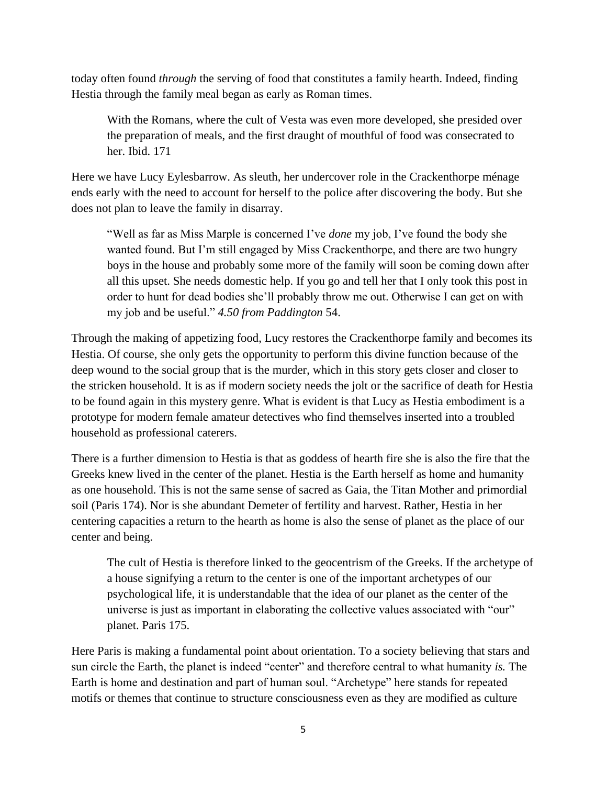today often found *through* the serving of food that constitutes a family hearth. Indeed, finding Hestia through the family meal began as early as Roman times.

With the Romans, where the cult of Vesta was even more developed, she presided over the preparation of meals, and the first draught of mouthful of food was consecrated to her. Ibid. 171

Here we have Lucy Eylesbarrow. As sleuth, her undercover role in the Crackenthorpe ménage ends early with the need to account for herself to the police after discovering the body. But she does not plan to leave the family in disarray.

"Well as far as Miss Marple is concerned I've *done* my job, I've found the body she wanted found. But I'm still engaged by Miss Crackenthorpe, and there are two hungry boys in the house and probably some more of the family will soon be coming down after all this upset. She needs domestic help. If you go and tell her that I only took this post in order to hunt for dead bodies she'll probably throw me out. Otherwise I can get on with my job and be useful." *4.50 from Paddington* 54.

Through the making of appetizing food, Lucy restores the Crackenthorpe family and becomes its Hestia. Of course, she only gets the opportunity to perform this divine function because of the deep wound to the social group that is the murder, which in this story gets closer and closer to the stricken household. It is as if modern society needs the jolt or the sacrifice of death for Hestia to be found again in this mystery genre. What is evident is that Lucy as Hestia embodiment is a prototype for modern female amateur detectives who find themselves inserted into a troubled household as professional caterers.

There is a further dimension to Hestia is that as goddess of hearth fire she is also the fire that the Greeks knew lived in the center of the planet. Hestia is the Earth herself as home and humanity as one household. This is not the same sense of sacred as Gaia, the Titan Mother and primordial soil (Paris 174). Nor is she abundant Demeter of fertility and harvest. Rather, Hestia in her centering capacities a return to the hearth as home is also the sense of planet as the place of our center and being.

The cult of Hestia is therefore linked to the geocentrism of the Greeks. If the archetype of a house signifying a return to the center is one of the important archetypes of our psychological life, it is understandable that the idea of our planet as the center of the universe is just as important in elaborating the collective values associated with "our" planet. Paris 175.

Here Paris is making a fundamental point about orientation. To a society believing that stars and sun circle the Earth, the planet is indeed "center" and therefore central to what humanity *is.* The Earth is home and destination and part of human soul. "Archetype" here stands for repeated motifs or themes that continue to structure consciousness even as they are modified as culture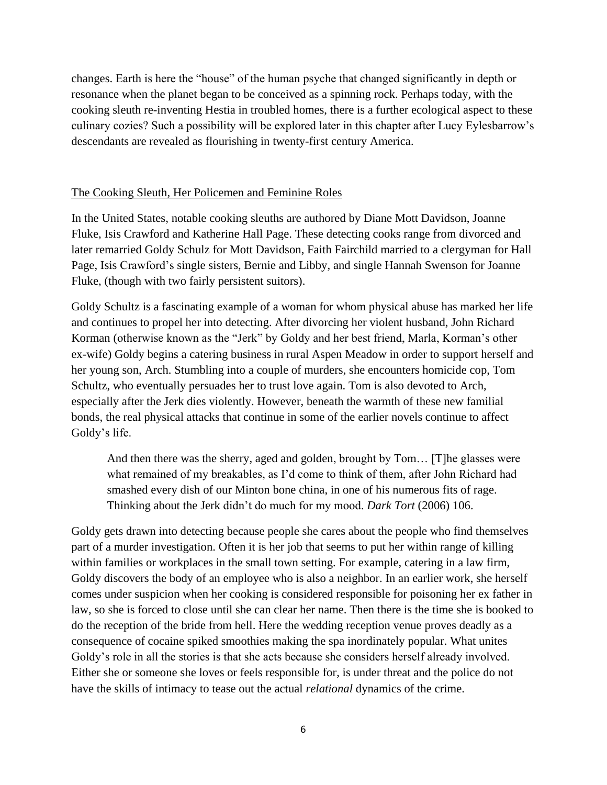changes. Earth is here the "house" of the human psyche that changed significantly in depth or resonance when the planet began to be conceived as a spinning rock. Perhaps today, with the cooking sleuth re-inventing Hestia in troubled homes, there is a further ecological aspect to these culinary cozies? Such a possibility will be explored later in this chapter after Lucy Eylesbarrow's descendants are revealed as flourishing in twenty-first century America.

### The Cooking Sleuth, Her Policemen and Feminine Roles

In the United States, notable cooking sleuths are authored by Diane Mott Davidson, Joanne Fluke, Isis Crawford and Katherine Hall Page. These detecting cooks range from divorced and later remarried Goldy Schulz for Mott Davidson, Faith Fairchild married to a clergyman for Hall Page, Isis Crawford's single sisters, Bernie and Libby, and single Hannah Swenson for Joanne Fluke, (though with two fairly persistent suitors).

Goldy Schultz is a fascinating example of a woman for whom physical abuse has marked her life and continues to propel her into detecting. After divorcing her violent husband, John Richard Korman (otherwise known as the "Jerk" by Goldy and her best friend, Marla, Korman's other ex-wife) Goldy begins a catering business in rural Aspen Meadow in order to support herself and her young son, Arch. Stumbling into a couple of murders, she encounters homicide cop, Tom Schultz, who eventually persuades her to trust love again. Tom is also devoted to Arch, especially after the Jerk dies violently. However, beneath the warmth of these new familial bonds, the real physical attacks that continue in some of the earlier novels continue to affect Goldy's life.

And then there was the sherry, aged and golden, brought by Tom… [T]he glasses were what remained of my breakables, as I'd come to think of them, after John Richard had smashed every dish of our Minton bone china, in one of his numerous fits of rage. Thinking about the Jerk didn't do much for my mood. *Dark Tort* (2006) 106.

Goldy gets drawn into detecting because people she cares about the people who find themselves part of a murder investigation. Often it is her job that seems to put her within range of killing within families or workplaces in the small town setting. For example, catering in a law firm, Goldy discovers the body of an employee who is also a neighbor. In an earlier work, she herself comes under suspicion when her cooking is considered responsible for poisoning her ex father in law, so she is forced to close until she can clear her name. Then there is the time she is booked to do the reception of the bride from hell. Here the wedding reception venue proves deadly as a consequence of cocaine spiked smoothies making the spa inordinately popular. What unites Goldy's role in all the stories is that she acts because she considers herself already involved. Either she or someone she loves or feels responsible for, is under threat and the police do not have the skills of intimacy to tease out the actual *relational* dynamics of the crime.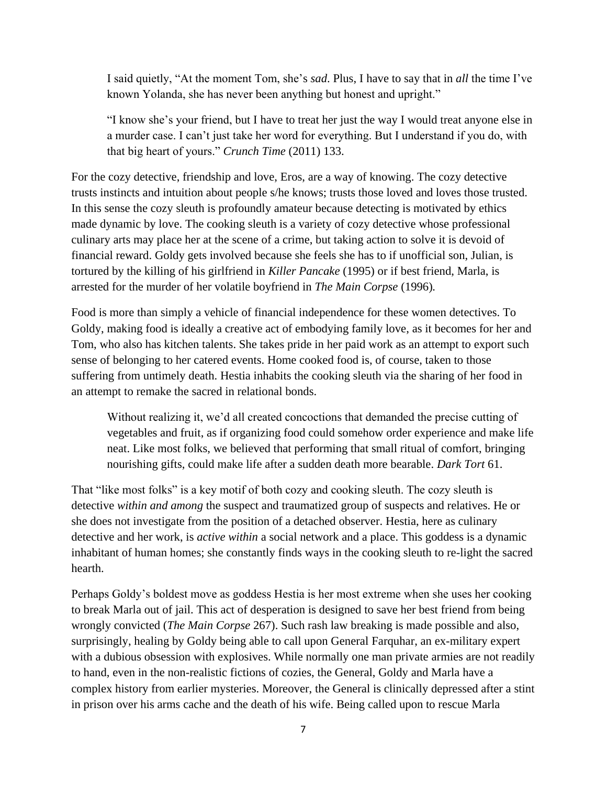I said quietly, "At the moment Tom, she's *sad*. Plus, I have to say that in *all* the time I've known Yolanda, she has never been anything but honest and upright."

"I know she's your friend, but I have to treat her just the way I would treat anyone else in a murder case. I can't just take her word for everything. But I understand if you do, with that big heart of yours." *Crunch Time* (2011) 133.

For the cozy detective, friendship and love, Eros, are a way of knowing. The cozy detective trusts instincts and intuition about people s/he knows; trusts those loved and loves those trusted. In this sense the cozy sleuth is profoundly amateur because detecting is motivated by ethics made dynamic by love. The cooking sleuth is a variety of cozy detective whose professional culinary arts may place her at the scene of a crime, but taking action to solve it is devoid of financial reward. Goldy gets involved because she feels she has to if unofficial son, Julian, is tortured by the killing of his girlfriend in *Killer Pancake* (1995) or if best friend, Marla, is arrested for the murder of her volatile boyfriend in *The Main Corpse* (1996)*.* 

Food is more than simply a vehicle of financial independence for these women detectives. To Goldy, making food is ideally a creative act of embodying family love, as it becomes for her and Tom, who also has kitchen talents. She takes pride in her paid work as an attempt to export such sense of belonging to her catered events. Home cooked food is, of course, taken to those suffering from untimely death. Hestia inhabits the cooking sleuth via the sharing of her food in an attempt to remake the sacred in relational bonds.

Without realizing it, we'd all created concoctions that demanded the precise cutting of vegetables and fruit, as if organizing food could somehow order experience and make life neat. Like most folks, we believed that performing that small ritual of comfort, bringing nourishing gifts, could make life after a sudden death more bearable. *Dark Tort* 61.

That "like most folks" is a key motif of both cozy and cooking sleuth. The cozy sleuth is detective *within and among* the suspect and traumatized group of suspects and relatives. He or she does not investigate from the position of a detached observer. Hestia, here as culinary detective and her work, is *active within* a social network and a place. This goddess is a dynamic inhabitant of human homes; she constantly finds ways in the cooking sleuth to re-light the sacred hearth.

Perhaps Goldy's boldest move as goddess Hestia is her most extreme when she uses her cooking to break Marla out of jail. This act of desperation is designed to save her best friend from being wrongly convicted (*The Main Corpse* 267). Such rash law breaking is made possible and also, surprisingly, healing by Goldy being able to call upon General Farquhar, an ex-military expert with a dubious obsession with explosives. While normally one man private armies are not readily to hand, even in the non-realistic fictions of cozies, the General, Goldy and Marla have a complex history from earlier mysteries. Moreover, the General is clinically depressed after a stint in prison over his arms cache and the death of his wife. Being called upon to rescue Marla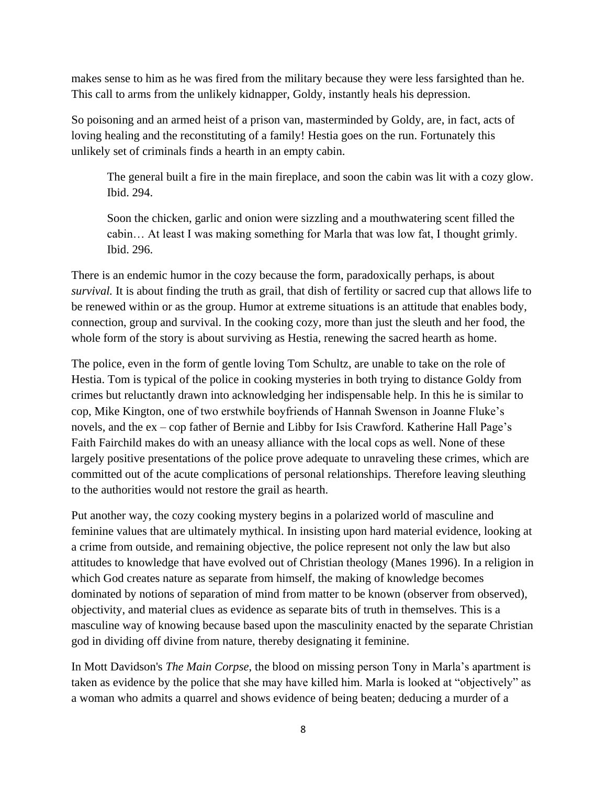makes sense to him as he was fired from the military because they were less farsighted than he. This call to arms from the unlikely kidnapper, Goldy, instantly heals his depression.

So poisoning and an armed heist of a prison van, masterminded by Goldy, are, in fact, acts of loving healing and the reconstituting of a family! Hestia goes on the run. Fortunately this unlikely set of criminals finds a hearth in an empty cabin.

The general built a fire in the main fireplace, and soon the cabin was lit with a cozy glow. Ibid. 294.

Soon the chicken, garlic and onion were sizzling and a mouthwatering scent filled the cabin… At least I was making something for Marla that was low fat, I thought grimly. Ibid. 296.

There is an endemic humor in the cozy because the form, paradoxically perhaps, is about *survival.* It is about finding the truth as grail, that dish of fertility or sacred cup that allows life to be renewed within or as the group. Humor at extreme situations is an attitude that enables body, connection, group and survival. In the cooking cozy, more than just the sleuth and her food, the whole form of the story is about surviving as Hestia, renewing the sacred hearth as home.

The police, even in the form of gentle loving Tom Schultz, are unable to take on the role of Hestia. Tom is typical of the police in cooking mysteries in both trying to distance Goldy from crimes but reluctantly drawn into acknowledging her indispensable help. In this he is similar to cop, Mike Kington, one of two erstwhile boyfriends of Hannah Swenson in Joanne Fluke's novels, and the ex – cop father of Bernie and Libby for Isis Crawford. Katherine Hall Page's Faith Fairchild makes do with an uneasy alliance with the local cops as well. None of these largely positive presentations of the police prove adequate to unraveling these crimes, which are committed out of the acute complications of personal relationships. Therefore leaving sleuthing to the authorities would not restore the grail as hearth.

Put another way, the cozy cooking mystery begins in a polarized world of masculine and feminine values that are ultimately mythical. In insisting upon hard material evidence, looking at a crime from outside, and remaining objective, the police represent not only the law but also attitudes to knowledge that have evolved out of Christian theology (Manes 1996). In a religion in which God creates nature as separate from himself, the making of knowledge becomes dominated by notions of separation of mind from matter to be known (observer from observed), objectivity, and material clues as evidence as separate bits of truth in themselves. This is a masculine way of knowing because based upon the masculinity enacted by the separate Christian god in dividing off divine from nature, thereby designating it feminine.

In Mott Davidson's *The Main Corpse*, the blood on missing person Tony in Marla's apartment is taken as evidence by the police that she may have killed him. Marla is looked at "objectively" as a woman who admits a quarrel and shows evidence of being beaten; deducing a murder of a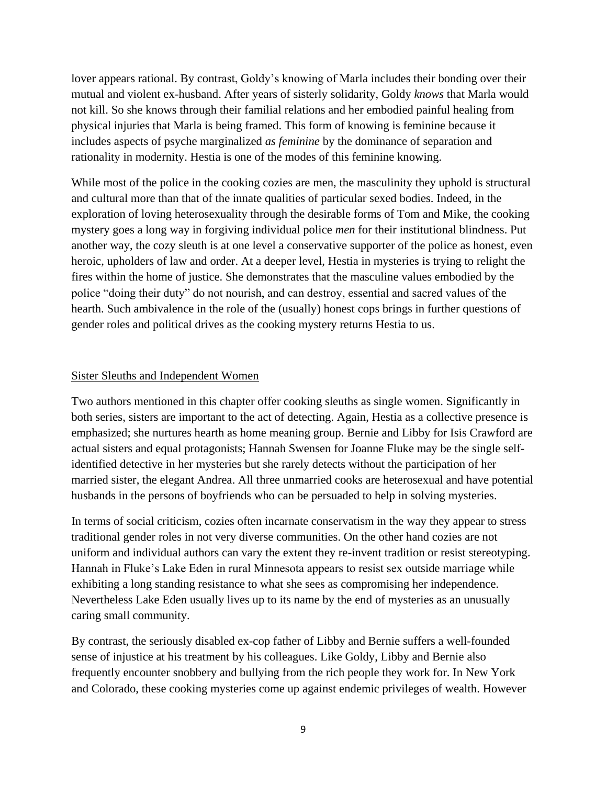lover appears rational. By contrast, Goldy's knowing of Marla includes their bonding over their mutual and violent ex-husband. After years of sisterly solidarity, Goldy *knows* that Marla would not kill. So she knows through their familial relations and her embodied painful healing from physical injuries that Marla is being framed. This form of knowing is feminine because it includes aspects of psyche marginalized *as feminine* by the dominance of separation and rationality in modernity. Hestia is one of the modes of this feminine knowing.

While most of the police in the cooking cozies are men, the masculinity they uphold is structural and cultural more than that of the innate qualities of particular sexed bodies. Indeed, in the exploration of loving heterosexuality through the desirable forms of Tom and Mike, the cooking mystery goes a long way in forgiving individual police *men* for their institutional blindness. Put another way, the cozy sleuth is at one level a conservative supporter of the police as honest, even heroic, upholders of law and order. At a deeper level, Hestia in mysteries is trying to relight the fires within the home of justice. She demonstrates that the masculine values embodied by the police "doing their duty" do not nourish, and can destroy, essential and sacred values of the hearth. Such ambivalence in the role of the (usually) honest cops brings in further questions of gender roles and political drives as the cooking mystery returns Hestia to us.

#### Sister Sleuths and Independent Women

Two authors mentioned in this chapter offer cooking sleuths as single women. Significantly in both series, sisters are important to the act of detecting. Again, Hestia as a collective presence is emphasized; she nurtures hearth as home meaning group. Bernie and Libby for Isis Crawford are actual sisters and equal protagonists; Hannah Swensen for Joanne Fluke may be the single selfidentified detective in her mysteries but she rarely detects without the participation of her married sister, the elegant Andrea. All three unmarried cooks are heterosexual and have potential husbands in the persons of boyfriends who can be persuaded to help in solving mysteries.

In terms of social criticism, cozies often incarnate conservatism in the way they appear to stress traditional gender roles in not very diverse communities. On the other hand cozies are not uniform and individual authors can vary the extent they re-invent tradition or resist stereotyping. Hannah in Fluke's Lake Eden in rural Minnesota appears to resist sex outside marriage while exhibiting a long standing resistance to what she sees as compromising her independence. Nevertheless Lake Eden usually lives up to its name by the end of mysteries as an unusually caring small community.

By contrast, the seriously disabled ex-cop father of Libby and Bernie suffers a well-founded sense of injustice at his treatment by his colleagues. Like Goldy, Libby and Bernie also frequently encounter snobbery and bullying from the rich people they work for. In New York and Colorado, these cooking mysteries come up against endemic privileges of wealth. However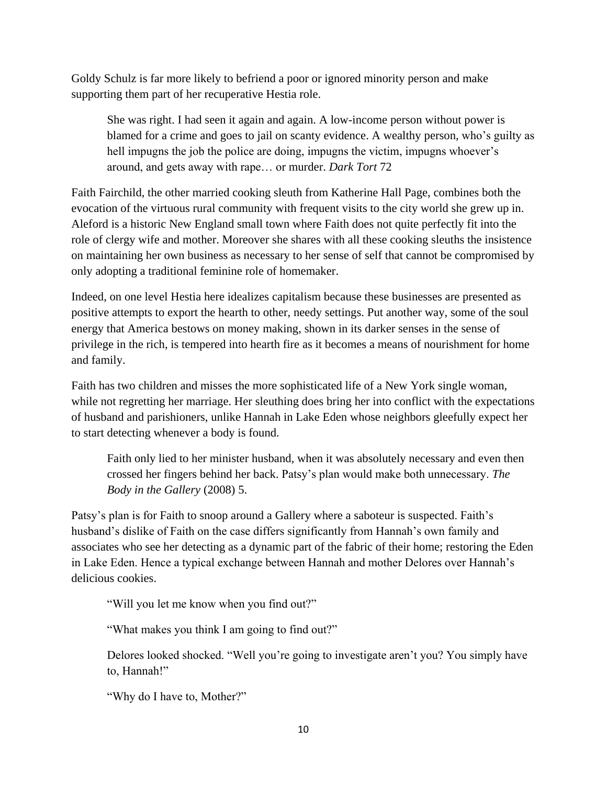Goldy Schulz is far more likely to befriend a poor or ignored minority person and make supporting them part of her recuperative Hestia role.

She was right. I had seen it again and again. A low-income person without power is blamed for a crime and goes to jail on scanty evidence. A wealthy person, who's guilty as hell impugns the job the police are doing, impugns the victim, impugns whoever's around, and gets away with rape… or murder. *Dark Tort* 72

Faith Fairchild, the other married cooking sleuth from Katherine Hall Page, combines both the evocation of the virtuous rural community with frequent visits to the city world she grew up in. Aleford is a historic New England small town where Faith does not quite perfectly fit into the role of clergy wife and mother. Moreover she shares with all these cooking sleuths the insistence on maintaining her own business as necessary to her sense of self that cannot be compromised by only adopting a traditional feminine role of homemaker.

Indeed, on one level Hestia here idealizes capitalism because these businesses are presented as positive attempts to export the hearth to other, needy settings. Put another way, some of the soul energy that America bestows on money making, shown in its darker senses in the sense of privilege in the rich, is tempered into hearth fire as it becomes a means of nourishment for home and family.

Faith has two children and misses the more sophisticated life of a New York single woman, while not regretting her marriage. Her sleuthing does bring her into conflict with the expectations of husband and parishioners, unlike Hannah in Lake Eden whose neighbors gleefully expect her to start detecting whenever a body is found.

Faith only lied to her minister husband, when it was absolutely necessary and even then crossed her fingers behind her back. Patsy's plan would make both unnecessary. *The Body in the Gallery* (2008) 5.

Patsy's plan is for Faith to snoop around a Gallery where a saboteur is suspected. Faith's husband's dislike of Faith on the case differs significantly from Hannah's own family and associates who see her detecting as a dynamic part of the fabric of their home; restoring the Eden in Lake Eden. Hence a typical exchange between Hannah and mother Delores over Hannah's delicious cookies.

"Will you let me know when you find out?"

"What makes you think I am going to find out?"

Delores looked shocked. "Well you're going to investigate aren't you? You simply have to, Hannah!"

"Why do I have to, Mother?"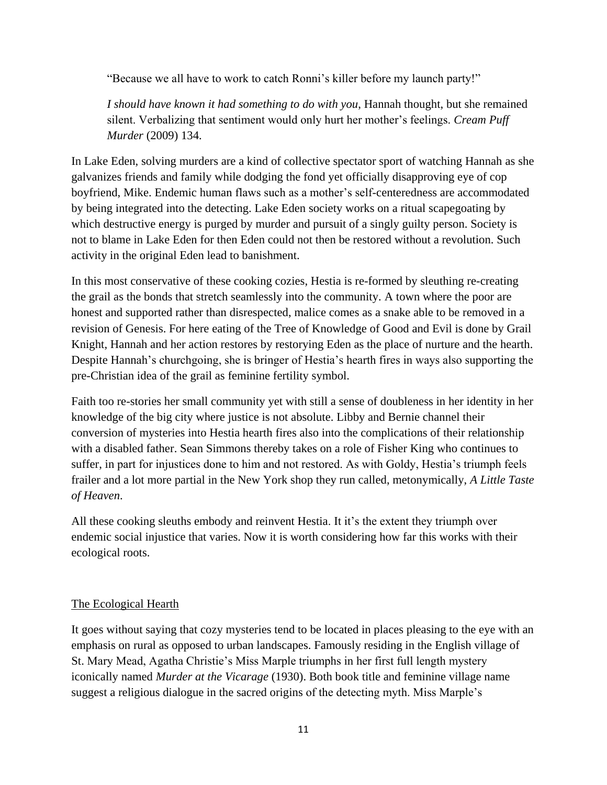"Because we all have to work to catch Ronni's killer before my launch party!"

*I should have known it had something to do with you*, Hannah thought, but she remained silent. Verbalizing that sentiment would only hurt her mother's feelings. *Cream Puff Murder* (2009) 134.

In Lake Eden, solving murders are a kind of collective spectator sport of watching Hannah as she galvanizes friends and family while dodging the fond yet officially disapproving eye of cop boyfriend, Mike. Endemic human flaws such as a mother's self-centeredness are accommodated by being integrated into the detecting. Lake Eden society works on a ritual scapegoating by which destructive energy is purged by murder and pursuit of a singly guilty person. Society is not to blame in Lake Eden for then Eden could not then be restored without a revolution. Such activity in the original Eden lead to banishment.

In this most conservative of these cooking cozies, Hestia is re-formed by sleuthing re-creating the grail as the bonds that stretch seamlessly into the community. A town where the poor are honest and supported rather than disrespected, malice comes as a snake able to be removed in a revision of Genesis. For here eating of the Tree of Knowledge of Good and Evil is done by Grail Knight, Hannah and her action restores by restorying Eden as the place of nurture and the hearth. Despite Hannah's churchgoing, she is bringer of Hestia's hearth fires in ways also supporting the pre-Christian idea of the grail as feminine fertility symbol.

Faith too re-stories her small community yet with still a sense of doubleness in her identity in her knowledge of the big city where justice is not absolute. Libby and Bernie channel their conversion of mysteries into Hestia hearth fires also into the complications of their relationship with a disabled father. Sean Simmons thereby takes on a role of Fisher King who continues to suffer, in part for injustices done to him and not restored. As with Goldy, Hestia's triumph feels frailer and a lot more partial in the New York shop they run called, metonymically, *A Little Taste of Heaven*.

All these cooking sleuths embody and reinvent Hestia. It it's the extent they triumph over endemic social injustice that varies. Now it is worth considering how far this works with their ecological roots.

# The Ecological Hearth

It goes without saying that cozy mysteries tend to be located in places pleasing to the eye with an emphasis on rural as opposed to urban landscapes. Famously residing in the English village of St. Mary Mead, Agatha Christie's Miss Marple triumphs in her first full length mystery iconically named *Murder at the Vicarage* (1930). Both book title and feminine village name suggest a religious dialogue in the sacred origins of the detecting myth. Miss Marple's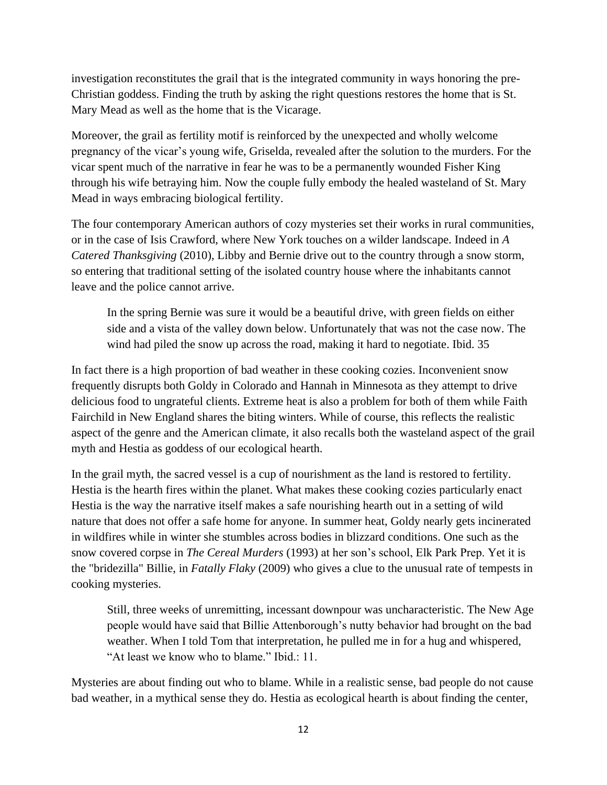investigation reconstitutes the grail that is the integrated community in ways honoring the pre-Christian goddess. Finding the truth by asking the right questions restores the home that is St. Mary Mead as well as the home that is the Vicarage.

Moreover, the grail as fertility motif is reinforced by the unexpected and wholly welcome pregnancy of the vicar's young wife, Griselda, revealed after the solution to the murders. For the vicar spent much of the narrative in fear he was to be a permanently wounded Fisher King through his wife betraying him. Now the couple fully embody the healed wasteland of St. Mary Mead in ways embracing biological fertility.

The four contemporary American authors of cozy mysteries set their works in rural communities, or in the case of Isis Crawford, where New York touches on a wilder landscape. Indeed in *A Catered Thanksgiving* (2010), Libby and Bernie drive out to the country through a snow storm, so entering that traditional setting of the isolated country house where the inhabitants cannot leave and the police cannot arrive.

In the spring Bernie was sure it would be a beautiful drive, with green fields on either side and a vista of the valley down below. Unfortunately that was not the case now. The wind had piled the snow up across the road, making it hard to negotiate. Ibid. 35

In fact there is a high proportion of bad weather in these cooking cozies. Inconvenient snow frequently disrupts both Goldy in Colorado and Hannah in Minnesota as they attempt to drive delicious food to ungrateful clients. Extreme heat is also a problem for both of them while Faith Fairchild in New England shares the biting winters. While of course, this reflects the realistic aspect of the genre and the American climate, it also recalls both the wasteland aspect of the grail myth and Hestia as goddess of our ecological hearth.

In the grail myth, the sacred vessel is a cup of nourishment as the land is restored to fertility. Hestia is the hearth fires within the planet. What makes these cooking cozies particularly enact Hestia is the way the narrative itself makes a safe nourishing hearth out in a setting of wild nature that does not offer a safe home for anyone. In summer heat, Goldy nearly gets incinerated in wildfires while in winter she stumbles across bodies in blizzard conditions. One such as the snow covered corpse in *The Cereal Murders* (1993) at her son's school, Elk Park Prep. Yet it is the "bridezilla" Billie, in *Fatally Flaky* (2009) who gives a clue to the unusual rate of tempests in cooking mysteries.

Still, three weeks of unremitting, incessant downpour was uncharacteristic. The New Age people would have said that Billie Attenborough's nutty behavior had brought on the bad weather. When I told Tom that interpretation, he pulled me in for a hug and whispered, "At least we know who to blame." Ibid.: 11.

Mysteries are about finding out who to blame. While in a realistic sense, bad people do not cause bad weather, in a mythical sense they do. Hestia as ecological hearth is about finding the center,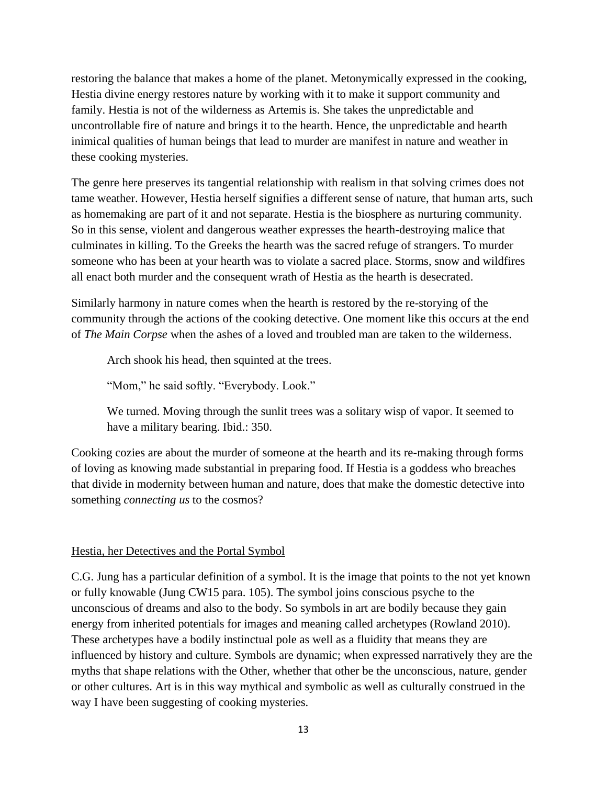restoring the balance that makes a home of the planet. Metonymically expressed in the cooking, Hestia divine energy restores nature by working with it to make it support community and family. Hestia is not of the wilderness as Artemis is. She takes the unpredictable and uncontrollable fire of nature and brings it to the hearth. Hence, the unpredictable and hearth inimical qualities of human beings that lead to murder are manifest in nature and weather in these cooking mysteries.

The genre here preserves its tangential relationship with realism in that solving crimes does not tame weather. However, Hestia herself signifies a different sense of nature, that human arts, such as homemaking are part of it and not separate. Hestia is the biosphere as nurturing community. So in this sense, violent and dangerous weather expresses the hearth-destroying malice that culminates in killing. To the Greeks the hearth was the sacred refuge of strangers. To murder someone who has been at your hearth was to violate a sacred place. Storms, snow and wildfires all enact both murder and the consequent wrath of Hestia as the hearth is desecrated.

Similarly harmony in nature comes when the hearth is restored by the re-storying of the community through the actions of the cooking detective. One moment like this occurs at the end of *The Main Corpse* when the ashes of a loved and troubled man are taken to the wilderness.

Arch shook his head, then squinted at the trees.

"Mom," he said softly. "Everybody. Look."

We turned. Moving through the sunlit trees was a solitary wisp of vapor. It seemed to have a military bearing. Ibid.: 350.

Cooking cozies are about the murder of someone at the hearth and its re-making through forms of loving as knowing made substantial in preparing food. If Hestia is a goddess who breaches that divide in modernity between human and nature, does that make the domestic detective into something *connecting us* to the cosmos?

# Hestia, her Detectives and the Portal Symbol

C.G. Jung has a particular definition of a symbol. It is the image that points to the not yet known or fully knowable (Jung CW15 para. 105). The symbol joins conscious psyche to the unconscious of dreams and also to the body. So symbols in art are bodily because they gain energy from inherited potentials for images and meaning called archetypes (Rowland 2010). These archetypes have a bodily instinctual pole as well as a fluidity that means they are influenced by history and culture. Symbols are dynamic; when expressed narratively they are the myths that shape relations with the Other, whether that other be the unconscious, nature, gender or other cultures. Art is in this way mythical and symbolic as well as culturally construed in the way I have been suggesting of cooking mysteries.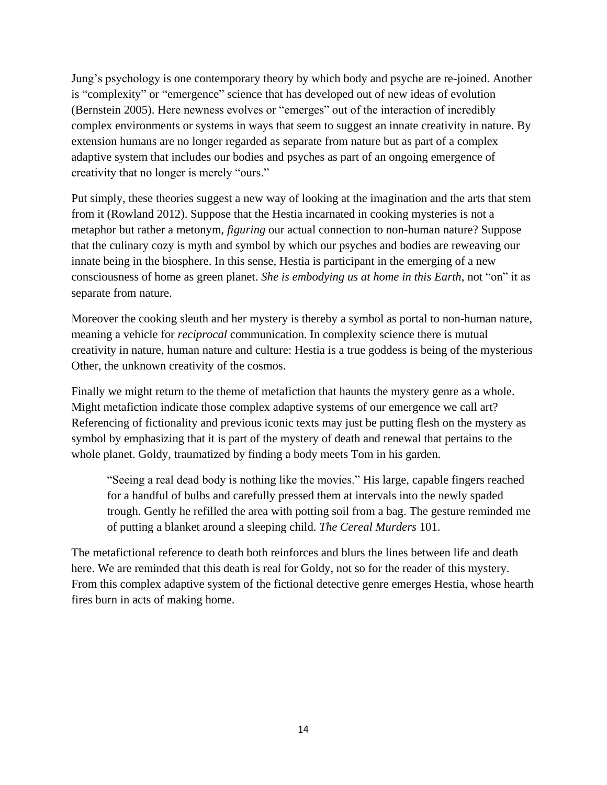Jung's psychology is one contemporary theory by which body and psyche are re-joined. Another is "complexity" or "emergence" science that has developed out of new ideas of evolution (Bernstein 2005). Here newness evolves or "emerges" out of the interaction of incredibly complex environments or systems in ways that seem to suggest an innate creativity in nature. By extension humans are no longer regarded as separate from nature but as part of a complex adaptive system that includes our bodies and psyches as part of an ongoing emergence of creativity that no longer is merely "ours."

Put simply, these theories suggest a new way of looking at the imagination and the arts that stem from it (Rowland 2012). Suppose that the Hestia incarnated in cooking mysteries is not a metaphor but rather a metonym, *figuring* our actual connection to non-human nature? Suppose that the culinary cozy is myth and symbol by which our psyches and bodies are reweaving our innate being in the biosphere. In this sense, Hestia is participant in the emerging of a new consciousness of home as green planet. *She is embodying us at home in this Earth*, not "on" it as separate from nature.

Moreover the cooking sleuth and her mystery is thereby a symbol as portal to non-human nature, meaning a vehicle for *reciprocal* communication. In complexity science there is mutual creativity in nature, human nature and culture: Hestia is a true goddess is being of the mysterious Other, the unknown creativity of the cosmos.

Finally we might return to the theme of metafiction that haunts the mystery genre as a whole. Might metafiction indicate those complex adaptive systems of our emergence we call art? Referencing of fictionality and previous iconic texts may just be putting flesh on the mystery as symbol by emphasizing that it is part of the mystery of death and renewal that pertains to the whole planet. Goldy, traumatized by finding a body meets Tom in his garden.

"Seeing a real dead body is nothing like the movies." His large, capable fingers reached for a handful of bulbs and carefully pressed them at intervals into the newly spaded trough. Gently he refilled the area with potting soil from a bag. The gesture reminded me of putting a blanket around a sleeping child. *The Cereal Murders* 101.

The metafictional reference to death both reinforces and blurs the lines between life and death here. We are reminded that this death is real for Goldy, not so for the reader of this mystery. From this complex adaptive system of the fictional detective genre emerges Hestia, whose hearth fires burn in acts of making home.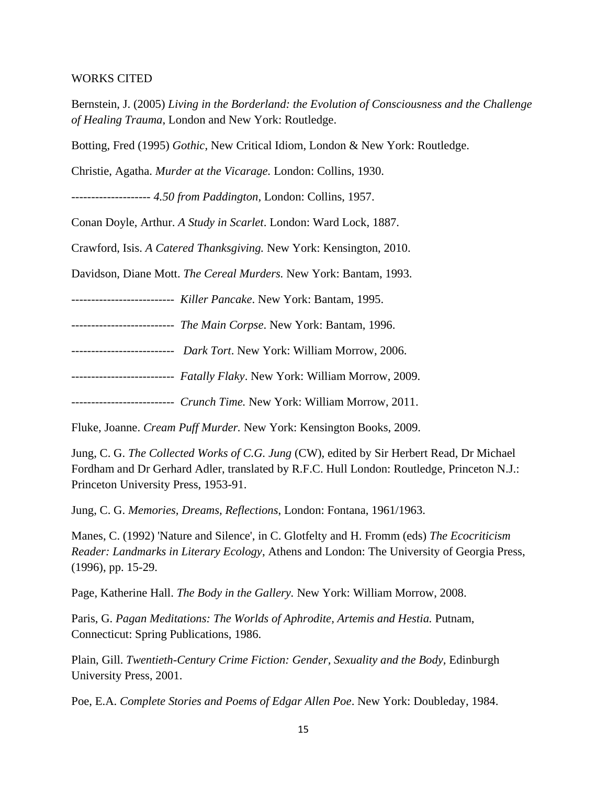#### WORKS CITED

Bernstein, J. (2005) *Living in the Borderland: the Evolution of Consciousness and the Challenge of Healing Trauma*, London and New York: Routledge.

Botting, Fred (1995) *Gothic*, New Critical Idiom, London & New York: Routledge.

Christie, Agatha. *Murder at the Vicarage.* London: Collins, 1930.

-------------------- *4.50 from Paddington,* London: Collins, 1957.

Conan Doyle, Arthur. *A Study in Scarlet*. London: Ward Lock, 1887.

Crawford, Isis. *A Catered Thanksgiving.* New York: Kensington, 2010.

Davidson, Diane Mott. *The Cereal Murders.* New York: Bantam, 1993.

-------------------------- *Killer Pancake*. New York: Bantam, 1995.

-------------------------- *The Main Corpse*. New York: Bantam, 1996.

-------------------------- *Dark Tort*. New York: William Morrow, 2006.

-------------------------- *Fatally Flaky*. New York: William Morrow, 2009.

-------------------------- *Crunch Time.* New York: William Morrow, 2011.

Fluke, Joanne. *Cream Puff Murder.* New York: Kensington Books, 2009.

Jung, C. G. *The Collected Works of C.G. Jung* (CW), edited by Sir Herbert Read, Dr Michael Fordham and Dr Gerhard Adler, translated by R.F.C. Hull London: Routledge, Princeton N.J.: Princeton University Press, 1953-91.

Jung, C. G. *Memories, Dreams, Reflections*, London: Fontana, 1961/1963.

Manes, C. (1992) 'Nature and Silence', in C. Glotfelty and H. Fromm (eds) *The Ecocriticism Reader: Landmarks in Literary Ecology*, Athens and London: The University of Georgia Press, (1996), pp. 15-29.

Page, Katherine Hall. *The Body in the Gallery.* New York: William Morrow, 2008.

Paris, G. Pagan Meditations: The Worlds of Aphrodite, Artemis and Hestia. Putnam, Connecticut: Spring Publications, 1986.

Plain, Gill. *Twentieth-Century Crime Fiction: Gender, Sexuality and the Body,* Edinburgh University Press, 2001.

Poe, E.A. *Complete Stories and Poems of Edgar Allen Poe*. New York: Doubleday, 1984.